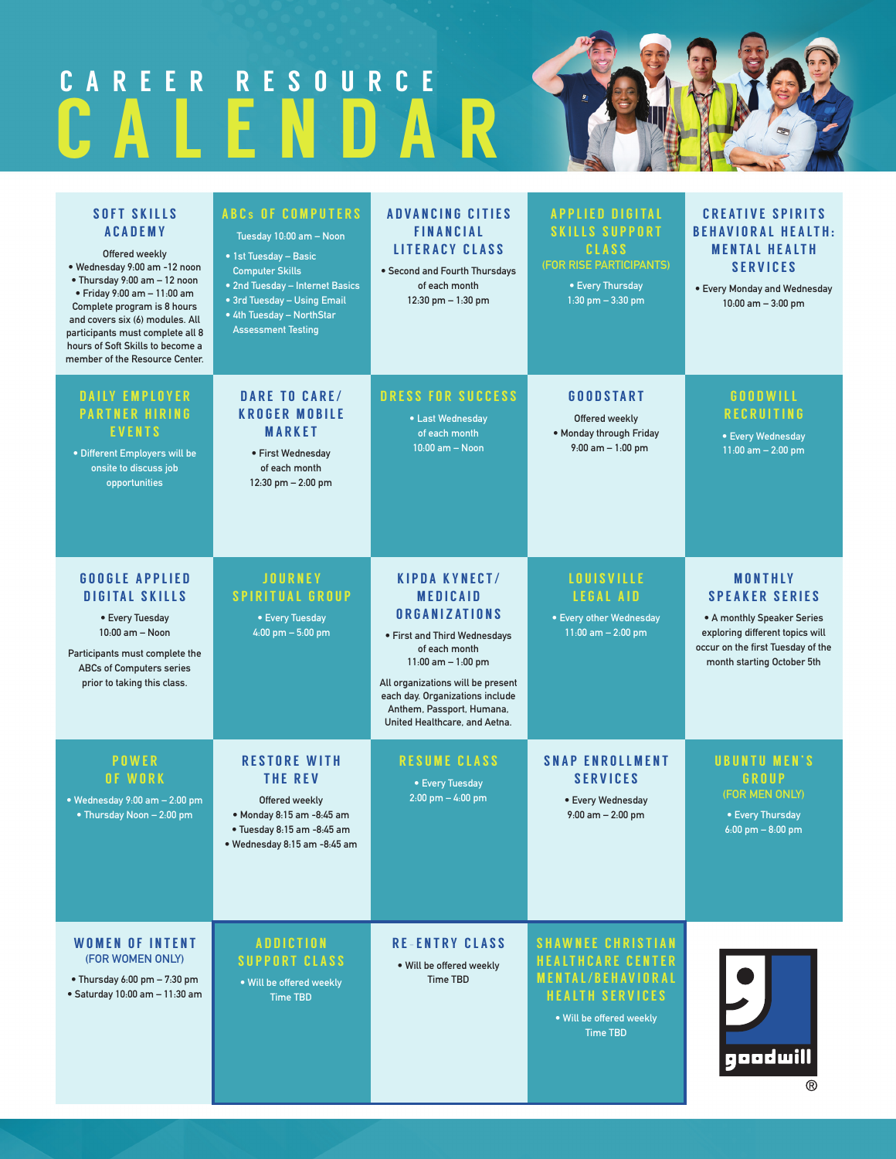# CALENDAR CAREER RESOURCE

| <b>SOFT SKILLS</b><br><b>ACADEMY</b><br>Offered weekly<br>· Wednesday 9:00 am -12 noon<br>• Thursday 9:00 am - 12 noon<br>· Friday 9:00 am - 11:00 am<br>Complete program is 8 hours<br>and covers six (6) modules. All<br>participants must complete all 8<br>hours of Soft Skills to become a<br>member of the Resource Center. | <b>ABCs OF COMPUTERS</b><br>Tuesday 10:00 am - Noon<br>• 1st Tuesday - Basic<br><b>Computer Skills</b><br>• 2nd Tuesday - Internet Basics<br>• 3rd Tuesday - Using Email<br>• 4th Tuesday - NorthStar<br><b>Assessment Testing</b> | <b>ADVANCING CITIES</b><br><b>FINANCIAL</b><br><b>LITERACY CLASS</b><br>• Second and Fourth Thursdays<br>of each month<br>12:30 pm - 1:30 pm                                                                                                                                     | <b>APPLIED DIGITAL</b><br><b>SKILLS SUPPORT</b><br><b>CLASS</b><br><b>(FOR RISE PARTICIPANTS)</b><br>• Every Thursday<br>1:30 pm $-3:30$ pm               | <b>CREATIVE SPIRITS</b><br><b>BEHAVIORAL HEALTH:</b><br><b>MENTAL HEALTH</b><br><b>SERVICES</b><br>• Every Monday and Wednesday<br>$10:00$ am $-3:00$ pm                    |
|-----------------------------------------------------------------------------------------------------------------------------------------------------------------------------------------------------------------------------------------------------------------------------------------------------------------------------------|------------------------------------------------------------------------------------------------------------------------------------------------------------------------------------------------------------------------------------|----------------------------------------------------------------------------------------------------------------------------------------------------------------------------------------------------------------------------------------------------------------------------------|-----------------------------------------------------------------------------------------------------------------------------------------------------------|-----------------------------------------------------------------------------------------------------------------------------------------------------------------------------|
| <b>DAILY EMPLOYER</b><br><b>PARTNER HIRING</b><br><b>EVENTS</b><br>· Different Employers will be<br>onsite to discuss job<br>opportunities                                                                                                                                                                                        | DARE TO CARE/<br><b>KROGER MOBILE</b><br><b>MARKET</b><br>• First Wednesday<br>of each month<br>12:30 pm - 2:00 pm                                                                                                                 | DRESS FOR SUCCESS<br>• Last Wednesday<br>of each month<br>$10:00$ am $-$ Noon                                                                                                                                                                                                    | GOODSTART<br>Offered weekly<br>. Monday through Friday<br>$9:00$ am $-1:00$ pm                                                                            | <b>GOODWILL</b><br><b>RECRUITING</b><br>• Every Wednesday<br>$11:00$ am $- 2:00$ pm                                                                                         |
| <b>GOOGLE APPLIED</b><br><b>DIGITAL SKILLS</b><br>• Every Tuesday<br>$10:00$ am - Noon<br>Participants must complete the<br><b>ABCs of Computers series</b><br>prior to taking this class.                                                                                                                                        | <b>JOURNEY</b><br><b>SPIRITUAL GROUP</b><br>• Every Tuesday<br>4:00 pm $-5:00$ pm                                                                                                                                                  | <b>KIPDA KYNECT/</b><br><b>MEDICAID</b><br><b>ORGANIZATIONS</b><br>• First and Third Wednesdays<br>of each month<br>$11:00$ am $- 1:00$ pm<br>All organizations will be present<br>each day. Organizations include<br>Anthem, Passport, Humana,<br>United Healthcare, and Aetna. | <b>LOUISVILLE</b><br><b>LEGAL AID</b><br>• Every other Wednesday<br>$11:00$ am $- 2:00$ pm                                                                | <b>MONTHLY</b><br><b>SPEAKER SERIES</b><br>• A monthly Speaker Series<br>exploring different topics will<br>occur on the first Tuesday of the<br>month starting October 5th |
| <b>POWER</b><br><b>OF WORK</b><br>• Wednesday $9:00$ am $- 2:00$ pm<br>• Thursday Noon - 2:00 pm                                                                                                                                                                                                                                  | <b>RESTORE WITH</b><br><b>THE REV</b><br>Offered weekly<br>• Monday 8:15 am -8:45 am<br>· Tuesday 8:15 am -8:45 am<br>· Wednesday 8:15 am -8:45 am                                                                                 | <b>RESUME CLASS</b><br>• Every Tuesday<br>$2:00$ pm $- 4:00$ pm                                                                                                                                                                                                                  | <b>SNAP ENROLLMENT</b><br><b>SERVICES</b><br>• Every Wednesday<br>$9:00$ am $- 2:00$ pm                                                                   | <b>UBUNTU MEN'S</b><br>GROUP<br>(FOR MEN ONLY)<br>• Every Thursday<br>$6:00$ pm $-8:00$ pm                                                                                  |
| <b>WOMEN OF INTENT</b><br>(FOR WOMEN ONLY)<br>• Thursday 6:00 pm - 7:30 pm<br>· Saturday 10:00 am - 11:30 am                                                                                                                                                                                                                      | <b>ADDICTION</b><br><b>SUPPORT CLASS</b><br>. Will be offered weekly<br><b>Time TBD</b>                                                                                                                                            | <b>RE-ENTRY CLASS</b><br>. Will be offered weekly<br><b>Time TBD</b>                                                                                                                                                                                                             | <b>SHAWNEE CHRISTIAN</b><br><b>HEALTHCARE CENTER</b><br><b>MENTAL/BEHAVIORAL</b><br><b>HEALTH SERVICES</b><br>. Will be offered weekly<br><b>Time TBD</b> | goodwill<br>®                                                                                                                                                               |